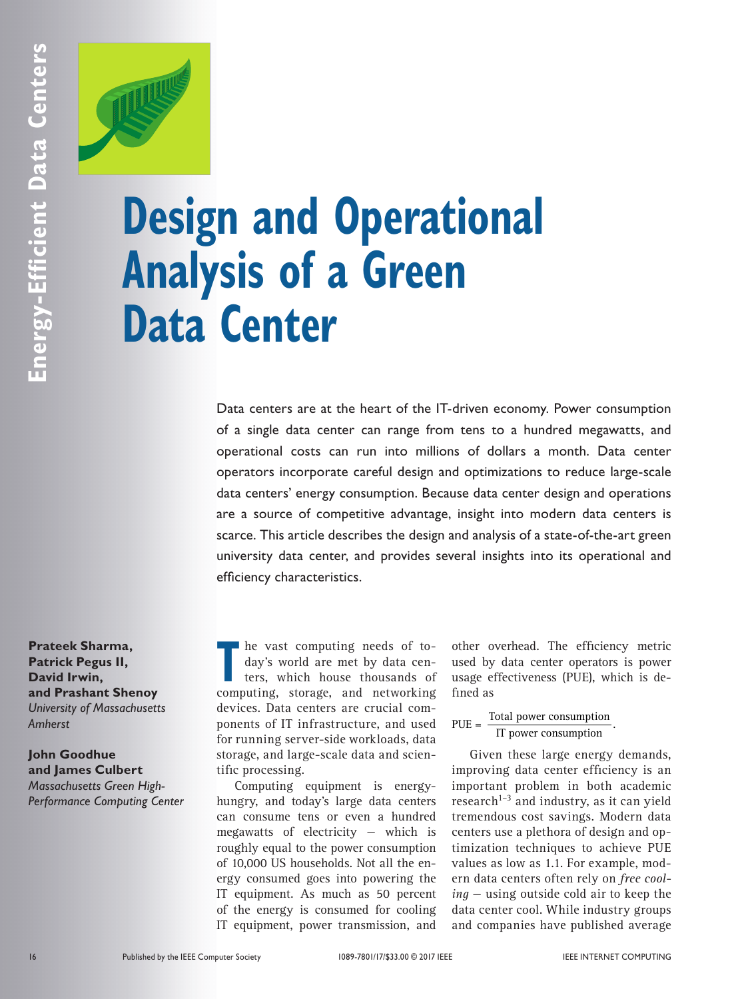

# **Design and Operational Analysis of a Green Data Center**

Data centers are at the heart of the IT-driven economy. Power consumption of a single data center can range from tens to a hundred megawatts, and operational costs can run into millions of dollars a month. Data center operators incorporate careful design and optimizations to reduce large-scale data centers' energy consumption. Because data center design and operations are a source of competitive advantage, insight into modern data centers is scarce. This article describes the design and analysis of a state-of-the-art green university data center, and provides several insights into its operational and efficiency characteristics.

**Prateek Sharma, Patrick Pegus II, David Irwin, and Prashant Shenoy** *University of Massachusetts Amherst*

**John Goodhue and James Culbert** *Massachusetts Green High-Performance Computing Center*

**THE VAST COMPUTER 19 he vast computing needs of to-**<br>day's world are met by data cen-<br>ters, which house thousands of day's world are met by data cencomputing, storage, and networking devices. Data centers are crucial components of IT infrastructure, and used for running server-side workloads, data storage, and large-scale data and scientific processing.

Computing equipment is energyhungry, and today's large data centers can consume tens or even a hundred megawatts of electricity — which is roughly equal to the power consumption of 10,000 US households. Not all the energy consumed goes into powering the IT equipment. As much as 50 percent of the energy is consumed for cooling IT equipment, power transmission, and other overhead. The efficiency metric used by data center operators is power usage effectiveness (PUE), which is defined as

PUE =  $\frac{\text{Total power consumption}}{\text{IT power consumption}}$ .

Given these large energy demands, improving data center efficiency is an important problem in both academic research $1-3$  and industry, as it can yield tremendous cost savings. Modern data centers use a plethora of design and optimization techniques to achieve PUE values as low as 1.1. For example, modern data centers often rely on *free cooling* — using outside cold air to keep the data center cool. While industry groups and companies have published average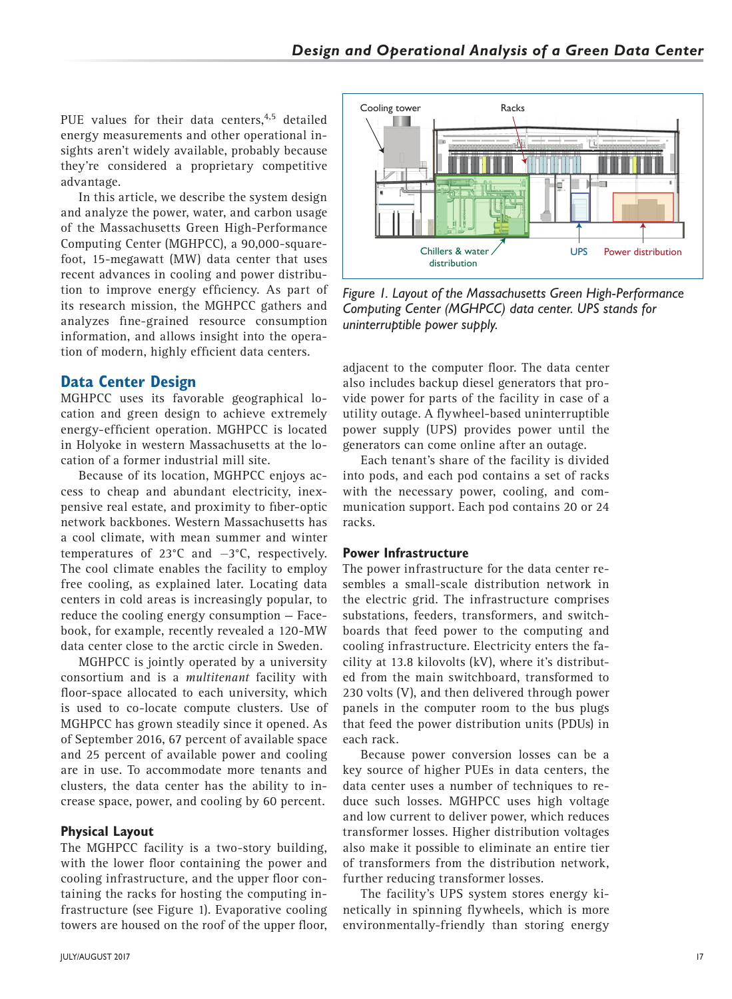PUE values for their data centers,<sup>4,5</sup> detailed energy measurements and other operational insights aren't widely available, probably because they're considered a proprietary competitive advantage.

In this article, we describe the system design and analyze the power, water, and carbon usage of the Massachusetts Green High-Performance Computing Center (MGHPCC), a 90,000-squarefoot, 15-megawatt (MW) data center that uses recent advances in cooling and power distribution to improve energy efficiency. As part of its research mission, the MGHPCC gathers and analyzes fine-grained resource consumption information, and allows insight into the operation of modern, highly efficient data centers.

# **Data Center Design**

MGHPCC uses its favorable geographical location and green design to achieve extremely energy-efficient operation. MGHPCC is located in Holyoke in western Massachusetts at the location of a former industrial mill site.

Because of its location, MGHPCC enjoys access to cheap and abundant electricity, inexpensive real estate, and proximity to fiber-optic network backbones. Western Massachusetts has a cool climate, with mean summer and winter temperatures of 23°C and −3°C, respectively. The cool climate enables the facility to employ free cooling, as explained later. Locating data centers in cold areas is increasingly popular, to reduce the cooling energy consumption — Facebook, for example, recently revealed a 120-MW data center close to the arctic circle in Sweden.

MGHPCC is jointly operated by a university consortium and is a *multitenant* facility with floor-space allocated to each university, which is used to co-locate compute clusters. Use of MGHPCC has grown steadily since it opened. As of September 2016, 67 percent of available space and 25 percent of available power and cooling are in use. To accommodate more tenants and clusters, the data center has the ability to increase space, power, and cooling by 60 percent.

# **Physical Layout**

The MGHPCC facility is a two-story building, with the lower floor containing the power and cooling infrastructure, and the upper floor containing the racks for hosting the computing infrastructure (see Figure 1). Evaporative cooling towers are housed on the roof of the upper floor,



*Figure 1. Layout of the Massachusetts Green High-Performance Computing Center (MGHPCC) data center. UPS stands for uninterruptible power supply.*

adjacent to the computer floor. The data center also includes backup diesel generators that provide power for parts of the facility in case of a utility outage. A flywheel-based uninterruptible power supply (UPS) provides power until the generators can come online after an outage.

Each tenant's share of the facility is divided into pods, and each pod contains a set of racks with the necessary power, cooling, and communication support. Each pod contains 20 or 24 racks.

# **Power Infrastructure**

The power infrastructure for the data center resembles a small-scale distribution network in the electric grid. The infrastructure comprises substations, feeders, transformers, and switchboards that feed power to the computing and cooling infrastructure. Electricity enters the facility at 13.8 kilovolts (kV), where it's distributed from the main switchboard, transformed to 230 volts (V), and then delivered through power panels in the computer room to the bus plugs that feed the power distribution units (PDUs) in each rack.

Because power conversion losses can be a key source of higher PUEs in data centers, the data center uses a number of techniques to reduce such losses. MGHPCC uses high voltage and low current to deliver power, which reduces transformer losses. Higher distribution voltages also make it possible to eliminate an entire tier of transformers from the distribution network, further reducing transformer losses.

The facility's UPS system stores energy kinetically in spinning flywheels, which is more environmentally-friendly than storing energy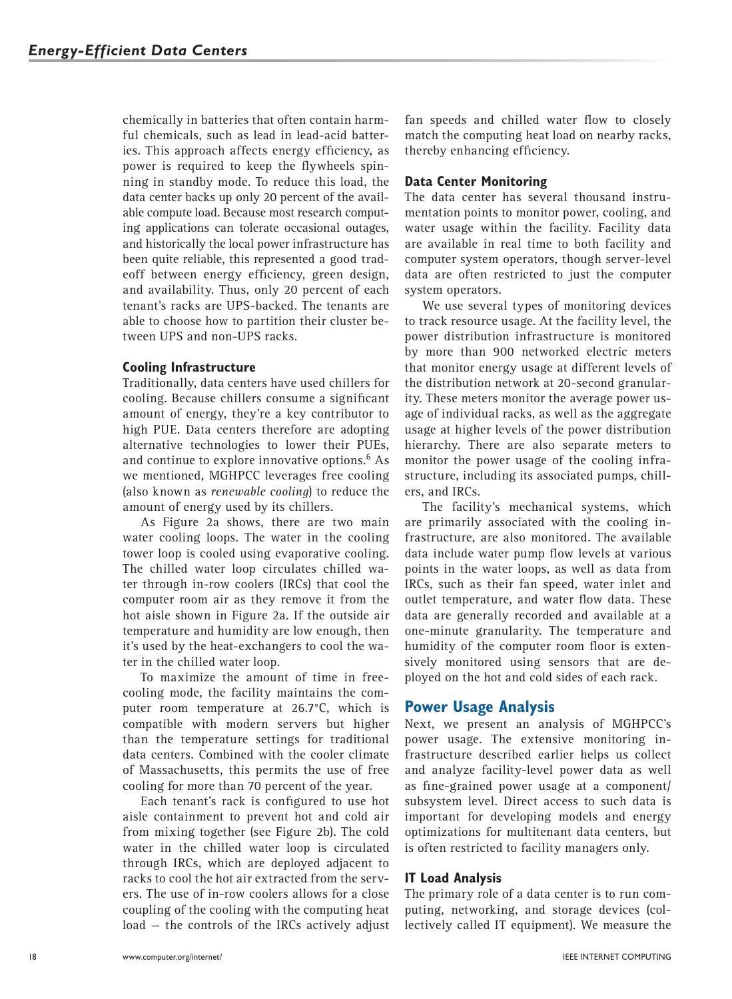chemically in batteries that often contain harmful chemicals, such as lead in lead-acid batteries. This approach affects energy efficiency, as power is required to keep the flywheels spinning in standby mode. To reduce this load, the data center backs up only 20 percent of the available compute load. Because most research computing applications can tolerate occasional outages, and historically the local power infrastructure has been quite reliable, this represented a good tradeoff between energy efficiency, green design, and availability. Thus, only 20 percent of each tenant's racks are UPS-backed. The tenants are able to choose how to partition their cluster between UPS and non-UPS racks.

## **Cooling Infrastructure**

Traditionally, data centers have used chillers for cooling. Because chillers consume a significant amount of energy, they're a key contributor to high PUE. Data centers therefore are adopting alternative technologies to lower their PUEs, and continue to explore innovative options.<sup>6</sup> As we mentioned, MGHPCC leverages free cooling (also known as *renewable cooling*) to reduce the amount of energy used by its chillers.

As Figure 2a shows, there are two main water cooling loops. The water in the cooling tower loop is cooled using evaporative cooling. The chilled water loop circulates chilled water through in-row coolers (IRCs) that cool the computer room air as they remove it from the hot aisle shown in Figure 2a. If the outside air temperature and humidity are low enough, then it's used by the heat-exchangers to cool the water in the chilled water loop.

To maximize the amount of time in freecooling mode, the facility maintains the computer room temperature at 26.7°C, which is compatible with modern servers but higher than the temperature settings for traditional data centers. Combined with the cooler climate of Massachusetts, this permits the use of free cooling for more than 70 percent of the year.

Each tenant's rack is configured to use hot aisle containment to prevent hot and cold air from mixing together (see Figure 2b). The cold water in the chilled water loop is circulated through IRCs, which are deployed adjacent to racks to cool the hot air extracted from the servers. The use of in-row coolers allows for a close coupling of the cooling with the computing heat load — the controls of the IRCs actively adjust fan speeds and chilled water flow to closely match the computing heat load on nearby racks, thereby enhancing efficiency.

### **Data Center Monitoring**

The data center has several thousand instrumentation points to monitor power, cooling, and water usage within the facility. Facility data are available in real time to both facility and computer system operators, though server-level data are often restricted to just the computer system operators.

We use several types of monitoring devices to track resource usage. At the facility level, the power distribution infrastructure is monitored by more than 900 networked electric meters that monitor energy usage at different levels of the distribution network at 20-second granularity. These meters monitor the average power usage of individual racks, as well as the aggregate usage at higher levels of the power distribution hierarchy. There are also separate meters to monitor the power usage of the cooling infrastructure, including its associated pumps, chillers, and IRCs.

The facility's mechanical systems, which are primarily associated with the cooling infrastructure, are also monitored. The available data include water pump flow levels at various points in the water loops, as well as data from IRCs, such as their fan speed, water inlet and outlet temperature, and water flow data. These data are generally recorded and available at a one-minute granularity. The temperature and humidity of the computer room floor is extensively monitored using sensors that are deployed on the hot and cold sides of each rack.

# **Power Usage Analysis**

Next, we present an analysis of MGHPCC's power usage. The extensive monitoring infrastructure described earlier helps us collect and analyze facility-level power data as well as fine-grained power usage at a component/ subsystem level. Direct access to such data is important for developing models and energy optimizations for multitenant data centers, but is often restricted to facility managers only.

### **IT Load Analysis**

The primary role of a data center is to run computing, networking, and storage devices (collectively called IT equipment). We measure the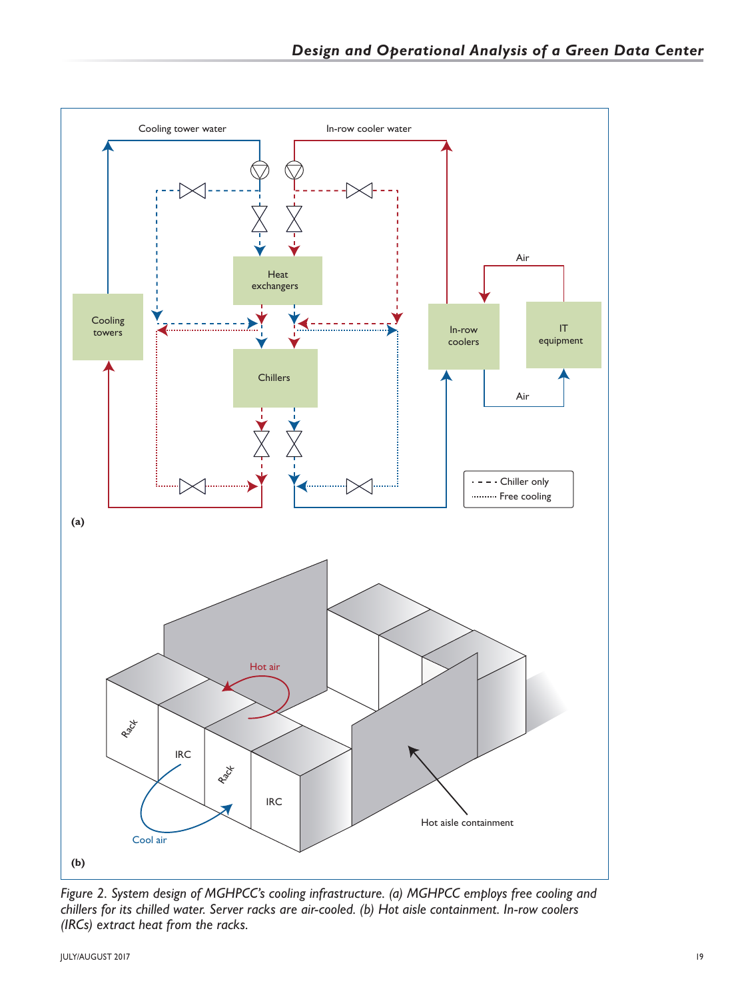

*Figure 2. System design of MGHPCC's cooling infrastructure. (a) MGHPCC employs free cooling and chillers for its chilled water. Server racks are air-cooled. (b) Hot aisle containment. In-row coolers (IRCs) extract heat from the racks.*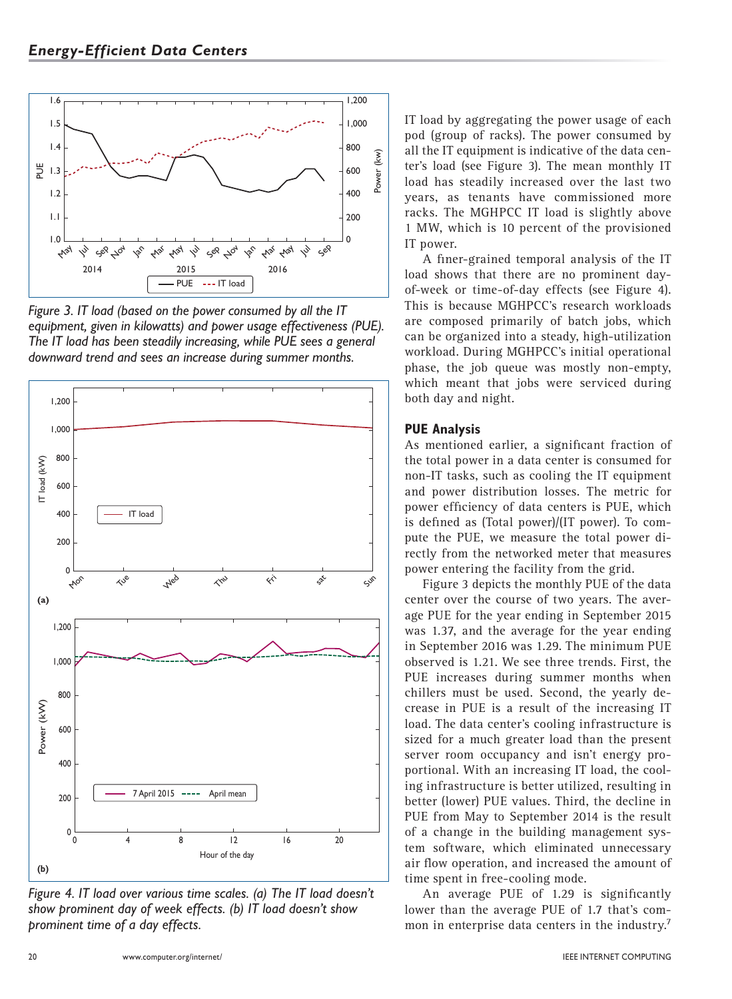

*Figure 3. IT load (based on the power consumed by all the IT equipment, given in kilowatts) and power usage effectiveness (PUE). The IT load has been steadily increasing, while PUE sees a general downward trend and sees an increase during summer months.*



*Figure 4. IT load over various time scales. (a) The IT load doesn't show prominent day of week effects. (b) IT load doesn't show prominent time of a day effects.*

IT load by aggregating the power usage of each pod (group of racks). The power consumed by all the IT equipment is indicative of the data center's load (see Figure 3). The mean monthly IT load has steadily increased over the last two years, as tenants have commissioned more racks. The MGHPCC IT load is slightly above 1 MW, which is 10 percent of the provisioned IT power.

A finer-grained temporal analysis of the IT load shows that there are no prominent dayof-week or time-of-day effects (see Figure 4). This is because MGHPCC's research workloads are composed primarily of batch jobs, which can be organized into a steady, high-utilization workload. During MGHPCC's initial operational phase, the job queue was mostly non-empty, which meant that jobs were serviced during both day and night.

# **PUE Analysis**

As mentioned earlier, a significant fraction of the total power in a data center is consumed for non-IT tasks, such as cooling the IT equipment and power distribution losses. The metric for power efficiency of data centers is PUE, which is defined as (Total power)/(IT power). To compute the PUE, we measure the total power directly from the networked meter that measures power entering the facility from the grid.

Figure 3 depicts the monthly PUE of the data center over the course of two years. The average PUE for the year ending in September 2015 was 1.37, and the average for the year ending in September 2016 was 1.29. The minimum PUE observed is 1.21. We see three trends. First, the PUE increases during summer months when chillers must be used. Second, the yearly decrease in PUE is a result of the increasing IT load. The data center's cooling infrastructure is sized for a much greater load than the present server room occupancy and isn't energy proportional. With an increasing IT load, the cooling infrastructure is better utilized, resulting in better (lower) PUE values. Third, the decline in PUE from May to September 2014 is the result of a change in the building management system software, which eliminated unnecessary air flow operation, and increased the amount of time spent in free-cooling mode.

An average PUE of 1.29 is significantly lower than the average PUE of 1.7 that's common in enterprise data centers in the industry.<sup>7</sup>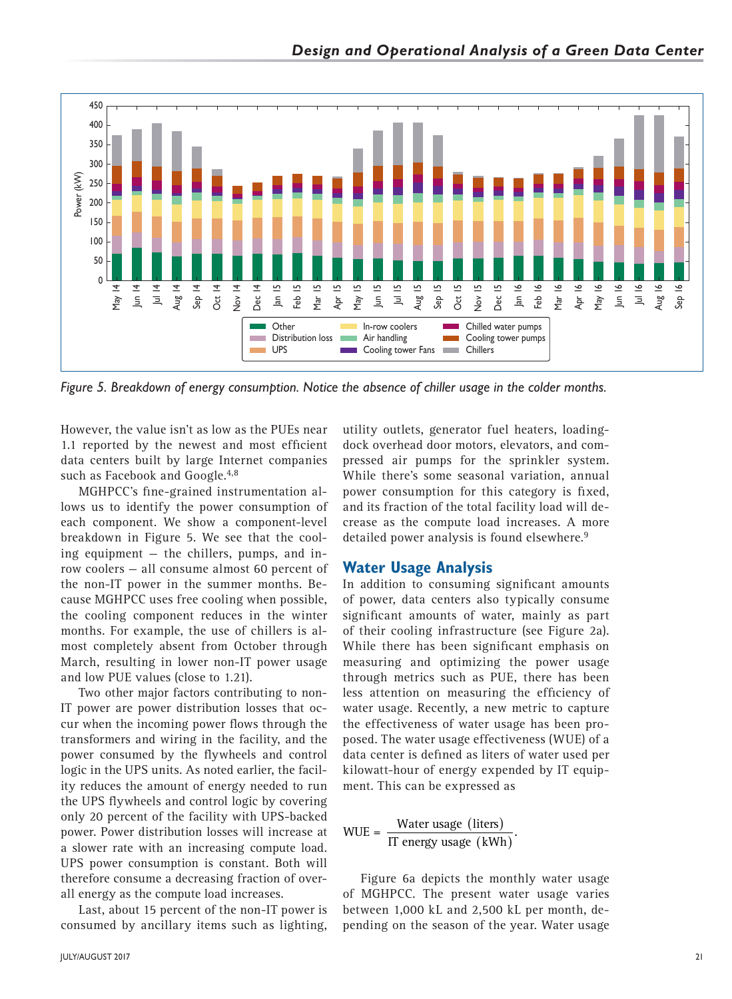

*Figure 5. Breakdown of energy consumption. Notice the absence of chiller usage in the colder months.*

However, the value isn't as low as the PUEs near 1.1 reported by the newest and most efficient data centers built by large Internet companies such as Facebook and Google.<sup>4,8</sup>

MGHPCC's fine-grained instrumentation allows us to identify the power consumption of each component. We show a component-level breakdown in Figure 5. We see that the cooling equipment — the chillers, pumps, and inrow coolers — all consume almost 60 percent of the non-IT power in the summer months. Because MGHPCC uses free cooling when possible, the cooling component reduces in the winter months. For example, the use of chillers is almost completely absent from October through March, resulting in lower non-IT power usage and low PUE values (close to 1.21).

Two other major factors contributing to non-IT power are power distribution losses that occur when the incoming power flows through the transformers and wiring in the facility, and the power consumed by the flywheels and control logic in the UPS units. As noted earlier, the facility reduces the amount of energy needed to run the UPS flywheels and control logic by covering only 20 percent of the facility with UPS-backed power. Power distribution losses will increase at a slower rate with an increasing compute load. UPS power consumption is constant. Both will therefore consume a decreasing fraction of overall energy as the compute load increases.

Last, about 15 percent of the non-IT power is consumed by ancillary items such as lighting,

of their cooling infrastructure (see Figure 2a). While there has been significant emphasis on measuring and optimizing the power usage through metrics such as PUE, there has been

**Water Usage Analysis**

less attention on measuring the efficiency of water usage. Recently, a new metric to capture the effectiveness of water usage has been proposed. The water usage effectiveness (WUE) of a data center is defined as liters of water used per kilowatt-hour of energy expended by IT equipment. This can be expressed as

utility outlets, generator fuel heaters, loadingdock overhead door motors, elevators, and compressed air pumps for the sprinkler system. While there's some seasonal variation, annual power consumption for this category is fixed, and its fraction of the total facility load will decrease as the compute load increases. A more detailed power analysis is found elsewhere.<sup>9</sup>

In addition to consuming significant amounts of power, data centers also typically consume significant amounts of water, mainly as part

$$
WUE = \frac{Water usage (liters)}{IT energy usage (kWh)}.
$$

Figure 6a depicts the monthly water usage of MGHPCC. The present water usage varies between 1,000 kL and 2,500 kL per month, depending on the season of the year. Water usage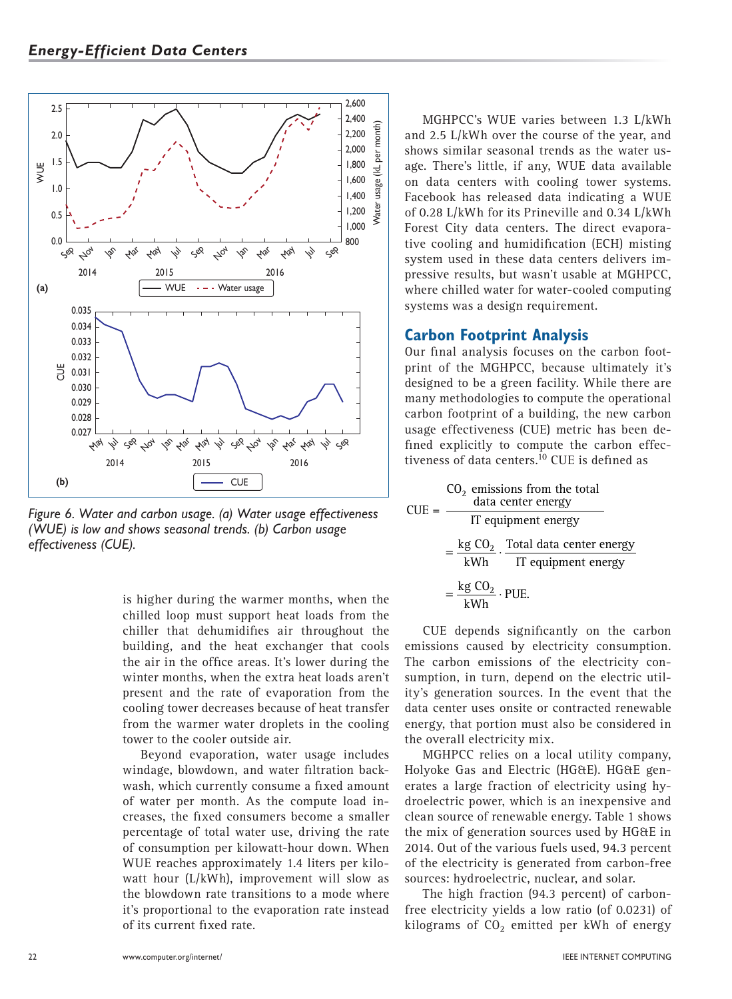

*Figure 6. Water and carbon usage. (a) Water usage effectiveness (WUE) is low and shows seasonal trends. (b) Carbon usage effectiveness (CUE).*

is higher during the warmer months, when the chilled loop must support heat loads from the chiller that dehumidifies air throughout the building, and the heat exchanger that cools the air in the office areas. It's lower during the winter months, when the extra heat loads aren't present and the rate of evaporation from the cooling tower decreases because of heat transfer from the warmer water droplets in the cooling tower to the cooler outside air.

Beyond evaporation, water usage includes windage, blowdown, and water filtration backwash, which currently consume a fixed amount of water per month. As the compute load increases, the fixed consumers become a smaller percentage of total water use, driving the rate of consumption per kilowatt-hour down. When WUE reaches approximately 1.4 liters per kilowatt hour (L/kWh), improvement will slow as the blowdown rate transitions to a mode where it's proportional to the evaporation rate instead of its current fixed rate.

MGHPCC's WUE varies between 1.3 L/kWh and 2.5 L/kWh over the course of the year, and shows similar seasonal trends as the water usage. There's little, if any, WUE data available on data centers with cooling tower systems. Facebook has released data indicating a WUE of 0.28 L/kWh for its Prineville and 0.34 L/kWh Forest City data centers. The direct evaporative cooling and humidification (ECH) misting system used in these data centers delivers impressive results, but wasn't usable at MGHPCC, where chilled water for water-cooled computing systems was a design requirement.

# **Carbon Footprint Analysis**

Our final analysis focuses on the carbon footprint of the MGHPCC, because ultimately it's designed to be a green facility. While there are many methodologies to compute the operational carbon footprint of a building, the new carbon usage effectiveness (CUE) metric has been defined explicitly to compute the carbon effectiveness of data centers.<sup>10</sup> CUE is defined as

 $CUE =$  $CO<sub>2</sub>$  emissions from the total data center energy IT equipment energy kg CO kWh Total data center energy IT equipment energy kg CO kWh  $=\frac{kg\omega_2}{1\mu}$ . PUE.  $=\frac{Rg\omega_2}{\omega_1\omega_2}$ .

CUE depends significantly on the carbon emissions caused by electricity consumption. The carbon emissions of the electricity consumption, in turn, depend on the electric utility's generation sources. In the event that the data center uses onsite or contracted renewable energy, that portion must also be considered in the overall electricity mix.

MGHPCC relies on a local utility company, Holyoke Gas and Electric (HG&E). HG&E generates a large fraction of electricity using hydroelectric power, which is an inexpensive and clean source of renewable energy. Table 1 shows the mix of generation sources used by HG&E in 2014. Out of the various fuels used, 94.3 percent of the electricity is generated from carbon-free sources: hydroelectric, nuclear, and solar.

The high fraction (94.3 percent) of carbonfree electricity yields a low ratio (of 0.0231) of kilograms of  $CO<sub>2</sub>$  emitted per kWh of energy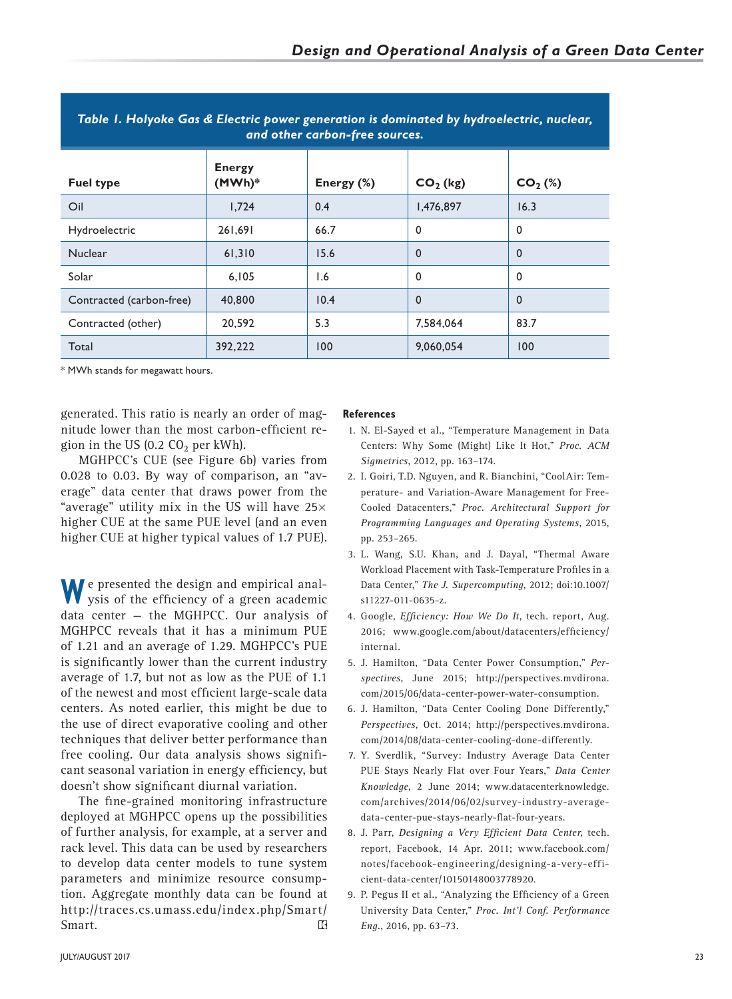| <b>Fuel type</b>         | <b>Energy</b><br>(MWh)* | Energy (%) | $CO2$ (kg)  | CO <sub>2</sub> (%) |
|--------------------------|-------------------------|------------|-------------|---------------------|
| Oil                      | 1.724                   | 0.4        | 1,476,897   | 16.3                |
| Hydroelectric            | 261,691                 | 66.7       | 0           | 0                   |
| <b>Nuclear</b>           | 61,310                  | 15.6       | $\mathbf 0$ | $\mathbf 0$         |
| Solar                    | 6,105                   | 1.6        | 0           | $\mathbf 0$         |
| Contracted (carbon-free) | 40,800                  | 10.4       | $\mathbf 0$ | $\mathbf 0$         |
| Contracted (other)       | 20,592                  | 5.3        | 7,584,064   | 83.7                |
| Total                    | 392,222                 | 100        | 9,060,054   | 100                 |

*Table 1. Holyoke Gas & Electric power generation is dominated by hydroelectric, nuclear, and other carbon-free sources.*

\* MWh stands for megawatt hours.

generated. This ratio is nearly an order of magnitude lower than the most carbon-efficient region in the US (0.2  $CO<sub>2</sub>$  per kWh).

MGHPCC's CUE (see Figure 6b) varies from 0.028 to 0.03. By way of comparison, an "average" data center that draws power from the "average" utility mix in the US will have  $25\times$ higher CUE at the same PUE level (and an even higher CUE at higher typical values of 1.7 PUE).

We presented the design and empirical anal-<br>We ysis of the efficiency of a green academic data center — the MGHPCC. Our analysis of MGHPCC reveals that it has a minimum PUE of 1.21 and an average of 1.29. MGHPCC's PUE is significantly lower than the current industry average of 1.7, but not as low as the PUE of 1.1 of the newest and most efficient large-scale data centers. As noted earlier, this might be due to the use of direct evaporative cooling and other techniques that deliver better performance than free cooling. Our data analysis shows significant seasonal variation in energy efficiency, but doesn't show significant diurnal variation.

The fine-grained monitoring infrastructure deployed at MGHPCC opens up the possibilities of further analysis, for example, at a server and rack level. This data can be used by researchers to develop data center models to tune system parameters and minimize resource consumption. Aggregate monthly data can be found at http://traces.cs.umass.edu/index.php/Smart/  $\mathbb{R}$ Smart.

### **References**

- 1. N. El-Sayed et al., "Temperature Management in Data Centers: Why Some (Might) Like It Hot," *Proc. ACM Sigmetrics*, 2012, pp. 163–174.
- 2. I. Goiri, T.D. Nguyen, and R. Bianchini, "CoolAir: Temperature- and Variation-Aware Management for Free-Cooled Datacenters," *Proc. Architectural Support for Programming Languages and Operating Systems*, 2015, pp. 253–265.
- 3. L. Wang, S.U. Khan, and J. Dayal, "Thermal Aware Workload Placement with Task-Temperature Profiles in a Data Center," *The J. Supercomputing*, 2012; doi:10.1007/ s11227-011-0635-z.
- 4. Google, *Efficiency: How We Do It*, tech. report, Aug. 2016; www.google.com/about/datacenters/efficiency/ internal.
- 5. J. Hamilton, "Data Center Power Consumption," *Perspectives*, June 2015; http://perspectives.mvdirona. com/2015/06/data-center-power-water-consumption.
- 6. J. Hamilton, "Data Center Cooling Done Differently," *Perspectives*, Oct. 2014; http://perspectives.mvdirona. com/2014/08/data-center-cooling-done-differently.
- 7. Y. Sverdlik, "Survey: Industry Average Data Center PUE Stays Nearly Flat over Four Years," *Data Center Knowledge*, 2 June 2014; www.datacenterknowledge. com/archives/2014/06/02/survey-industry-averagedata-center-pue-stays-nearly-flat-four-years.
- 8. J. Parr, *Designing a Very Efficient Data Center*, tech. report, Facebook, 14 Apr. 2011; www.facebook.com/ notes/facebook-engineering/designing-a-very-efficient-data-center/10150148003778920.
- 9. P. Pegus II et al., "Analyzing the Efficiency of a Green University Data Center," *Proc. Int'l Conf. Performance Eng.*, 2016, pp. 63–73.